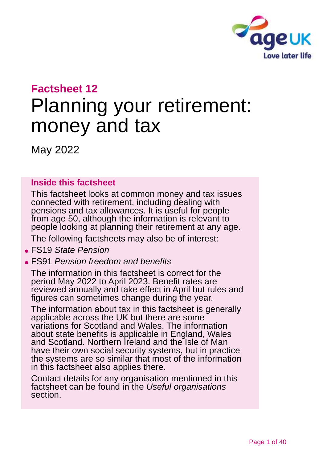

# **Factsheet 12**

# Planning your retirement: money and tax

May 2022

#### **Inside this factsheet**

This factsheet looks at common money and tax issues connected with retirement, including dealing with pensions and tax allowances. It is useful for people from age 50, although the information is relevant to people looking at planning their retirement at any age.

The following factsheets may also be of interest:

#### ⚫ FS19 *[State Pension](https://www.ageuk.org.uk/globalassets/age-uk/documents/factsheets/fs19_state_pension_fcs.pdf)*

⚫ FS91 *[Pension freedom and benefits](https://www.ageuk.org.uk/globalassets/age-uk/documents/factsheets/fs91_pension_freedom_and_benefits_fcs.pdf)*

The information in this factsheet is correct for the period May 2022 to April 2023. Benefit rates are reviewed annually and take effect in April but rules and figures can sometimes change during the year.

The information about tax in this factsheet is generally applicable across the UK but there are some variations for Scotland and Wales. The information about state benefits is applicable in England, Wales and Scotland. Northern Ireland and the Isle of Man have their own social security systems, but in practice the systems are so similar that most of the information in this factsheet also applies there.

Contact details for any organisation mentioned in this factsheet can be found in the *[Useful organisations](#page-36-0)* section.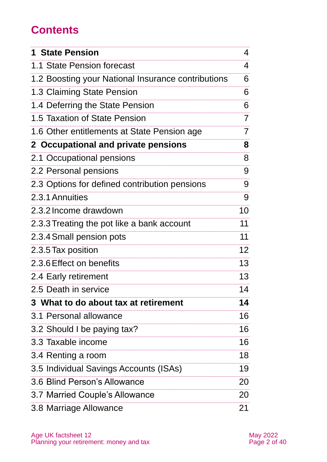# **Contents**

| <b>1 State Pension</b>                             | 4               |
|----------------------------------------------------|-----------------|
| 1.1 State Pension forecast                         | 4               |
| 1.2 Boosting your National Insurance contributions | 6               |
| 1.3 Claiming State Pension                         | 6               |
| 1.4 Deferring the State Pension                    | 6               |
| 1.5 Taxation of State Pension                      | 7               |
| 1.6 Other entitlements at State Pension age        | 7               |
| 2 Occupational and private pensions                | 8               |
| 2.1 Occupational pensions                          | 8               |
| 2.2 Personal pensions                              | 9               |
| 2.3 Options for defined contribution pensions      | 9               |
| 2.3.1 Annuities                                    | 9               |
| 2.3.2 Income drawdown                              | 10              |
| 2.3.3 Treating the pot like a bank account         | 11              |
| 2.3.4 Small pension pots                           | 11              |
| 2.3.5 Tax position                                 | 12 <sub>2</sub> |
| 2.3.6 Effect on benefits                           | 13              |
| 2.4 Early retirement                               | 13              |
| 2.5 Death in service                               | 14              |
| 3 What to do about tax at retirement               | 14              |
| 3.1 Personal allowance                             | 16              |
| 3.2 Should I be paying tax?                        | 16              |
| 3.3 Taxable income                                 | 16              |
| 3.4 Renting a room                                 | 18              |
| 3.5 Individual Savings Accounts (ISAs)             | 19              |
| 3.6 Blind Person's Allowance                       | 20              |
| 3.7 Married Couple's Allowance                     | 20              |
| 3.8 Marriage Allowance                             | 21              |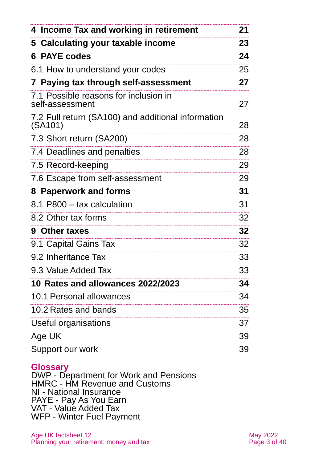| 4 Income Tax and working in retirement                                     | 21 |
|----------------------------------------------------------------------------|----|
| 5 Calculating your taxable income                                          | 23 |
| <b>6 PAYE codes</b>                                                        | 24 |
| 6.1 How to understand your codes                                           | 25 |
| 7 Paying tax through self-assessment                                       | 27 |
| 7.1 Possible reasons for inclusion in<br>self-assessment                   | 27 |
| 7.2 Full return (SA100) and additional information<br>(SA <sub>1</sub> 01) | 28 |
| 7.3 Short return (SA200)                                                   | 28 |
| 7.4 Deadlines and penalties                                                | 28 |
| 7.5 Record-keeping                                                         | 29 |
| 7.6 Escape from self-assessment                                            | 29 |
| 8 Paperwork and forms                                                      | 31 |
| 8.1 P800 – tax calculation                                                 | 31 |
| 8.2 Other tax forms                                                        | 32 |
| 9 Other taxes                                                              | 32 |
| 9.1 Capital Gains Tax                                                      | 32 |
| 9.2 Inheritance Tax                                                        | 33 |
| 9.3 Value Added Tax                                                        | 33 |
| 10 Rates and allowances 2022/2023                                          | 34 |
| 10.1 Personal allowances                                                   | 34 |
| 10.2 Rates and bands                                                       | 35 |
| Useful organisations                                                       | 37 |
| Age UK                                                                     | 39 |
| Support our work                                                           | 39 |

#### **Glossary**

DWP - Department for Work and Pensions HMRC - HM Revenue and Customs NI - National Insurance PAYE - Pay As You Earn VAT - Value Added Tax WFP - Winter Fuel Payment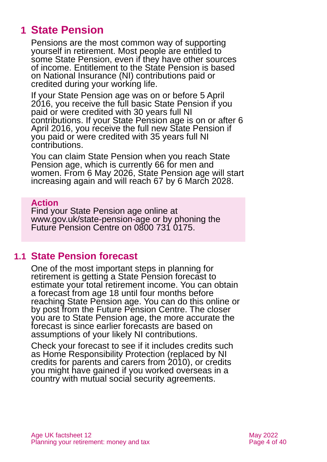# <span id="page-3-0"></span>**1 State Pension**

Pensions are the most common way of supporting yourself in retirement. Most people are entitled to some State Pension, even if they have other sources of income. Entitlement to the State Pension is based on National Insurance (NI) contributions paid or credited during your working life.

If your State Pension age was on or before 5 April 2016, you receive the full basic State Pension if you paid or were credited with 30 years full NI contributions. If your State Pension age is on or after 6 April 2016, you receive the full new State Pension if you paid or were credited with 35 years full NI contributions.

You can claim State Pension when you reach State Pension age, which is currently 66 for men and women. From 6 May 2026, State Pension age will start increasing again and will reach 67 by 6 March 2028.

#### **Action**

Find your State Pension age online at [www.gov.uk/state-pension-age](http://www.gov.uk/state-pension-age) or by phoning the Future Pension Centre on 0800 731 0175.

### **1.1 State Pension forecast**

One of the most important steps in planning for retirement is getting a State Pension forecast to estimate your total retirement income. You can obtain a forecast from age 18 until four months before reaching State Pension age. You can do this [online](https://www.gov.uk/check-state-pension) or by post from the [Future Pension](https://www.gov.uk/future-pension-centre) Centre. The closer you are to State Pension age, the more accurate the forecast is since earlier forecasts are based on assumptions of your likely NI contributions.

Check your forecast to see if it includes credits such as Home Responsibility Protection (replaced by NI credits for parents and carers from 2010), or credits you might have gained if you worked overseas in a country with mutual social security agreements.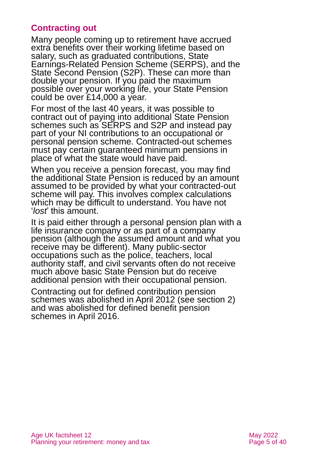#### **Contracting out**

Many people coming up to retirement have accrued extra benefits over their working lifetime based on salary, such as graduated contributions, State Earnings-Related Pension Scheme (SERPS), and the State Second Pension (S2P). These can more than double your pension. If you paid the maximum possible over your working life, your State Pension could be over £14,000 a year.

For most of the last 40 years, it was possible to contract out of paying into additional State Pension schemes such as SERPS and S2P and instead pay part of your NI contributions to an occupational or personal pension scheme. Contracted-out schemes must pay certain guaranteed minimum pensions in place of what the state would have paid.

When you receive a pension forecast, you may find the additional State Pension is reduced by an amount assumed to be provided by what your contracted-out scheme will pay. This involves complex calculations which may be difficult to understand. You have not '*lost*' this amount.

It is paid either through a personal pension plan with a life insurance company or as part of a company pension (although the assumed amount and what you receive may be different). Many public-sector occupations such as the police, teachers, local authority staff, and civil servants often do not receive much above basic State Pension but do receive additional pension with their occupational pension.

Contracting out for defined contribution pension schemes was abolished in April 2012 (see [section 2\)](#page-7-0) and was abolished for defined benefit pension schemes in April 2016.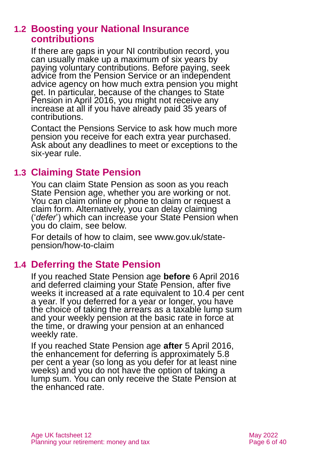### **1.2 Boosting your National Insurance contributions**

If there are gaps in your NI contribution record, you can usually make up a maximum of six years by paying voluntary contributions. Before paying, seek advice from the Pension Service or an independent advice agency on how much extra pension you might get. In particular, because of the changes to State Pension in April 2016, you might not receive any increase at all if you have already paid 35 years of contributions.

Contact the Pensions Service to ask how much more pension you receive for each extra year purchased. Ask about any deadlines to meet or exceptions to the six-year rule.

### **1.3 Claiming State Pension**

You can claim State Pension as soon as you reach State Pension age, whether you are working or not. You can claim online or phone to claim or request a claim form. Alternatively, you can delay claiming ('*defer*') which can increase your State Pension when you do claim, see below.

For details of how to claim, see [www.gov.uk/state](http://www.gov.uk/state-pension/how-to-claim)[pension/how-to-claim](http://www.gov.uk/state-pension/how-to-claim)

### **1.4 Deferring the State Pension**

If you reached State Pension age **before** 6 April 2016 and deferred claiming your State Pension, after five weeks it increased at a rate equivalent to 10.4 per cent a year. If you deferred for a year or longer, you have the choice of taking the arrears as a taxable lump sum and your weekly pension at the basic rate in force at the time, or drawing your pension at an enhanced weekly rate.

If you reached State Pension age **after** 5 April 2016, the enhancement for deferring is approximately 5.8 per cent a year (so long as you defer for at least nine weeks) and you do not have the option of taking a lump sum. You can only receive the State Pension at the enhanced rate.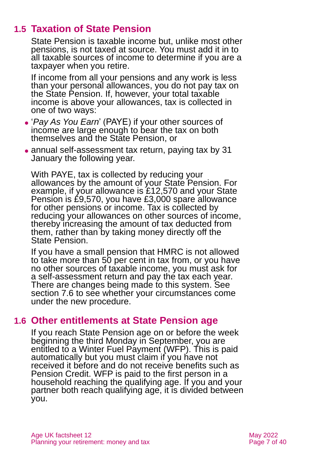### **1.5 Taxation of State Pension**

State Pension is taxable income but, unlike most other pensions, is not taxed at source. You must add it in to all taxable sources of income to determine if you are a taxpayer when you retire.

If income from all your pensions and any work is less than your personal allowances, you do not pay tax on the State Pension. If, however, your total taxable income is above your allowances, tax is collected in one of two ways:

- ⚫ '*Pay As You Earn*' (PAYE) if your other sources of income are large enough to bear the tax on both themselves and the State Pension, or
- annual self-assessment tax return, paying tax by 31 January the following year.

With PAYE, tax is collected by reducing your allowances by the amount of your State Pension. For example, if your allowance is £12,570 and your State Pension is £9,570, you have £3,000 spare allowance for other pensions or income. Tax is collected by reducing your allowances on other sources of income, thereby increasing the amount of tax deducted from them, rather than by taking money directly off the State Pension.

If you have a small pension that HMRC is not allowed to take more than 50 per cent in tax from, or you have no other sources of taxable income, you must ask for a self-assessment return and pay the tax each year. There are changes being made to this system. See [section 7.6](#page-28-0) to see whether your circumstances come under the new procedure.

### **1.6 Other entitlements at State Pension age**

If you reach State Pension age on or before the week beginning the third Monday in September, you are entitled to a Winter Fuel Payment (WFP). This is paid automatically but you must claim if you have not received it before and do not receive benefits such as Pension Credit. WFP is paid to the first person in a household reaching the qualifying age. If you and your partner both reach qualifying age, it is divided between you.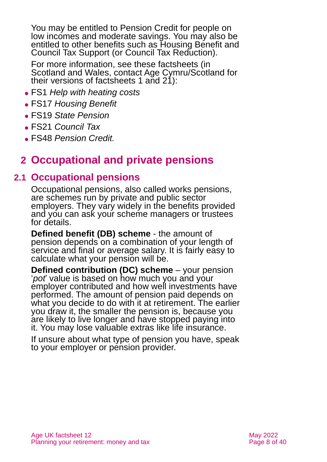You may be entitled to Pension Credit for people on low incomes and moderate savings. You may also be entitled to other benefits such as Housing Benefit and Council Tax Support (or Council Tax Reduction).

For more information, see these factsheets (in Scotland and Wales, contact Age Cymru/Scotland for their versions of factsheets 1 and 21):

- ⚫ FS1 *[Help with heating costs](https://www.ageuk.org.uk/globalassets/age-uk/documents/factsheets/fs1_help_with_heating_costs_fcs.pdf)*
- ⚫ FS17 *[Housing Benefit](https://www.ageuk.org.uk/globalassets/age-uk/documents/factsheets/fs17_housing_benefit_fcs.pdf)*
- ⚫ FS19 *[State Pension](https://www.ageuk.org.uk/globalassets/age-uk/documents/factsheets/fs19_state_pension_fcs.pdf)*
- ⚫ FS21 *[Council Tax](https://www.ageuk.org.uk/globalassets/age-uk/documents/factsheets/fs21_council_tax_fcs.pdf)*
- <span id="page-7-0"></span>⚫ FS48 *[Pension Credit.](https://www.ageuk.org.uk/globalassets/age-uk/documents/factsheets/fs48_pension_credit_fcs.pdf)*

# **2 Occupational and private pensions**

### **2.1 Occupational pensions**

Occupational pensions, also called works pensions, are schemes run by private and public sector employers. They vary widely in the benefits provided and you can ask your scheme managers or trustees for details.

**Defined benefit (DB) scheme** - the amount of pension depends on a combination of your length of service and final or average salary. It is fairly easy to calculate what your pension will be.

**Defined contribution (DC) scheme** – your pension '*pot*' value is based on how much you and your employer contributed and how well investments have performed. The amount of pension paid depends on what you decide to do with it at retirement. The earlier you draw it, the smaller the pension is, because you are likely to live longer and have stopped paying into it. You may lose valuable extras like life insurance.

If unsure about what type of pension you have, speak to your employer or pension provider.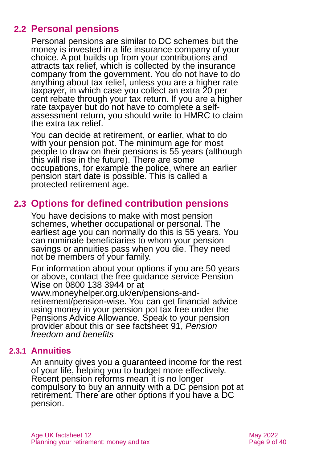### **2.2 Personal pensions**

Personal pensions are similar to DC schemes but the money is invested in a life insurance company of your choice. A pot builds up from your contributions and attracts tax relief, which is collected by the insurance company from the government. You do not have to do anything about tax relief, unless you are a higher rate taxpayer, in which case you collect an extra 20 per cent rebate through your tax return. If you are a higher rate taxpayer but do not have to complete a selfassessment return, you should write to HMRC to claim the extra tax relief.

You can decide at retirement, or earlier, what to do with your pension pot. The minimum age for most people to draw on their pensions is 55 years (although this will rise in the future). There are some occupations, for example the police, where an earlier pension start date is possible. This is called a protected retirement age.

### **2.3 Options for defined contribution pensions**

You have decisions to make with most pension schemes, whether occupational or personal. The earliest age you can normally do this is 55 years. You can nominate beneficiaries to whom your pension savings or annuities pass when you die. They need not be members of your family.

For information about your options if you are 50 years or above, contact the free guidance service Pension Wise on 0800 138 3944 or at [www.moneyhelper.org.uk/en/pensions-and](http://www.moneyhelper.org.uk/en/pensions-and-retirement/pension-wise)[retirement/pension-wise.](http://www.moneyhelper.org.uk/en/pensions-and-retirement/pension-wise) You can get financial advice using money in your pension pot tax free under the Pensions Advice Allowance. Speak to your pension provider about this or see factsheet 91, *[Pension](https://www.ageuk.org.uk/globalassets/age-uk/documents/factsheets/fs91_pension_freedom_and_benefits_fcs.pdf)  [freedom and benefits](https://www.ageuk.org.uk/globalassets/age-uk/documents/factsheets/fs91_pension_freedom_and_benefits_fcs.pdf)*

#### **2.3.1 Annuities**

An annuity gives you a guaranteed income for the rest of your life, helping you to budget more effectively. Recent pension reforms mean it is no longer compulsory to buy an annuity with a DC pension pot at retirement. There are other options if you have a DC pension.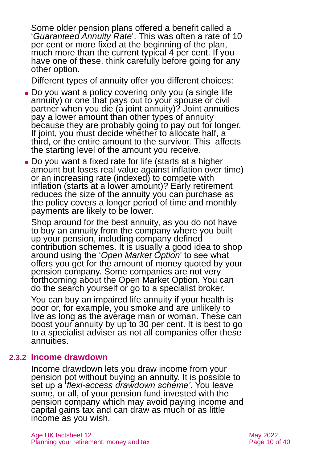Some older pension plans offered a benefit called a '*Guaranteed Annuity Rate*'. This was often a rate of 10 per cent or more fixed at the beginning of the plan, much more than the current typical 4 per cent. If you have one of these, think carefully before going for any other option.

Different types of annuity offer you different choices:

- Do you want a policy covering only you (a single life annuity) or one that pays out to your spouse or civil partner when you die (a joint annuity)? Joint annuities pay a lower amount than other types of annuity because they are probably going to pay out for longer. If joint, you must decide whether to allocate half, a third, or the entire amount to the survivor. This affects the starting level of the amount you receive.
- Do you want a fixed rate for life (starts at a higher amount but loses real value against inflation over time) or an increasing rate (indexed) to compete with inflation (starts at a lower amount)? Early retirement reduces the size of the annuity you can purchase as the policy covers a longer period of time and monthly payments are likely to be lower.

Shop around for the best annuity, as you do not have to buy an annuity from the company where you built up your pension, including company defined contribution schemes. It is usually a good idea to shop around using the '*Open Market Option*' to see what offers you get for the amount of money quoted by your pension company. Some companies are not very forthcoming about the Open Market Option. You can do the search yourself or go to a specialist broker.

You can buy an impaired life annuity if your health is poor or, for example, you smoke and are unlikely to live as long as the average man or woman. These can boost your annuity by up to 30 per cent. It is best to go to a specialist adviser as not all companies offer these annuities.

#### **2.3.2 Income drawdown**

Income drawdown lets you draw income from your pension pot without buying an annuity. It is possible to set up a '*flexi-access drawdown scheme'*. You leave some, or all, of your pension fund invested with the pension company which may avoid paying income and capital gains tax and can draw as much or as little income as you wish.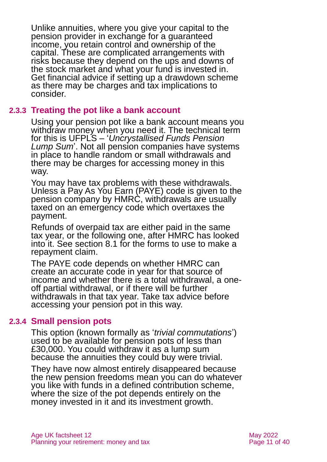Unlike annuities, where you give your capital to the pension provider in exchange for a guaranteed income, you retain control and ownership of the capital. These are complicated arrangements with risks because they depend on the ups and downs of the stock market and what your fund is invested in. Get financial advice if setting up a drawdown scheme as there may be charges and tax implications to consider.

#### **2.3.3 Treating the pot like a bank account**

<span id="page-10-0"></span>Using your pension pot like a bank account means you withdraw money when you need it. The technical term for this is [UFPLS](#page-10-0) – '*Uncrystallised Funds Pension Lump Sum*'. Not all pension companies have systems in place to handle random or small withdrawals and there may be charges for accessing money in this way.

You may have tax problems with these withdrawals. Unless a Pay As You Earn (PAYE) code is given to the pension company by HMRC, withdrawals are usually taxed on an emergency code which overtaxes the payment.

Refunds of overpaid tax are either paid in the same tax year, or the following one, after HMRC has looked into it. See [section 8.1](#page-30-1) for the forms to use to make a repayment claim.

The PAYE code depends on whether HMRC can create an accurate code in year for that source of income and whether there is a total withdrawal, a oneoff partial withdrawal, or if there will be further withdrawals in that tax year. Take tax advice before accessing your pension pot in this way.

#### **2.3.4 Small pension pots**

<span id="page-10-1"></span>This option (known formally as '*trivial commutations*') used to be available for pension pots of less than £30,000. You could withdraw it as a lump sum because the annuities they could buy were trivial.

They have now almost entirely disappeared because the new pension freedoms mean you can do whatever you like with funds in a defined contribution scheme, where the size of the pot depends entirely on the money invested in it and its investment growth.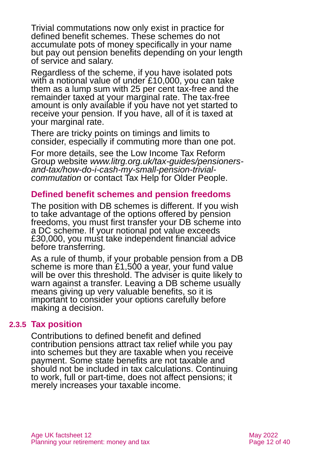Trivial commutations now only exist in practice for defined benefit schemes. These schemes do not accumulate pots of money specifically in your name but pay out pension benefits depending on your length of service and salary.

Regardless of the scheme, if you have isolated pots with a notional value of under £10,000, you can take them as a lump sum with 25 per cent tax-free and the remainder taxed at your marginal rate. The tax-free amount is only available if you have not yet started to receive your pension. If you have, all of it is taxed at your marginal rate.

There are tricky points on timings and limits to consider, especially if commuting more than one pot.

For more details, see the Low Income Tax Reform Group website *[www.litrg.org.uk/tax-guides/pensioners](http://www.litrg.org.uk/tax-guides/pensioners-and-tax/how-do-i-cash-my-small-pension-trivial-commutation)[and-tax/how-do-i-cash-my-small-pension-trivial](http://www.litrg.org.uk/tax-guides/pensioners-and-tax/how-do-i-cash-my-small-pension-trivial-commutation)[commutation](http://www.litrg.org.uk/tax-guides/pensioners-and-tax/how-do-i-cash-my-small-pension-trivial-commutation)* or contact [Tax Help for Older People.](#page-37-0)

#### **Defined benefit schemes and pension freedoms**

The position with DB schemes is different. If you wish to take advantage of the options offered by pension freedoms, you must first transfer your DB scheme into a DC scheme. If your notional pot value exceeds £30,000, you must take independent financial advice before transferring.

As a rule of thumb, if your probable pension from a DB scheme is more than £1,500 a year, your fund value will be over this threshold. The adviser is quite likely to warn against a transfer. Leaving a DB scheme usually means giving up very valuable benefits, so it is important to consider your options carefully before making a decision.

#### **2.3.5 Tax position**

Contributions to defined benefit and defined contribution pensions attract tax relief while you pay into schemes but they are taxable when you receive payment. Some state benefits are not taxable and should not be included in tax calculations. Continuing to work, full or part-time, does not affect pensions; it merely increases your taxable income.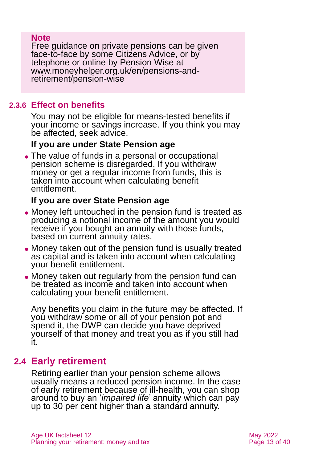#### **Note**

Free guidance on private pensions can be given face-to-face by some Citizens Advice, or by telephone or online by [Pension Wise](https://www.moneyhelper.org.uk/en/pensions-and-retirement/pension-wise) at [www.moneyhelper.org.uk/en/pensions-and](http://www.moneyhelper.org.uk/en/pensions-and-retirement/pension-wise)[retirement/pension-wise](http://www.moneyhelper.org.uk/en/pensions-and-retirement/pension-wise)

#### **2.3.6 Effect on benefits**

You may not be eligible for means-tested benefits if your income or savings increase. If you think you may be affected, seek advice.

#### **If you are under State Pension age**

• The value of funds in a personal or occupational pension scheme is disregarded. If you withdraw money or get a regular income from funds, this is taken into account when calculating benefit entitlement.

### **If you are over State Pension age**

- ⚫ Money left untouched in the pension fund is treated as producing a notional income of the amount you would receive if you bought an annuity with those funds, based on current annuity rates.
- ⚫ Money taken out of the pension fund is usually treated as capital and is taken into account when calculating your benefit entitlement.
- ⚫ Money taken out regularly from the pension fund can be treated as income and taken into account when calculating your benefit entitlement.

Any benefits you claim in the future may be affected. If you withdraw some or all of your pension pot and spend it, the DWP can decide you have deprived yourself of that money and treat you as if you still had it.

### **2.4 Early retirement**

Retiring earlier than your pension scheme allows usually means a reduced pension income. In the case of early retirement because of ill-health, you can shop around to buy an '*impaired life*' annuity which can pay up to 30 per cent higher than a standard annuity.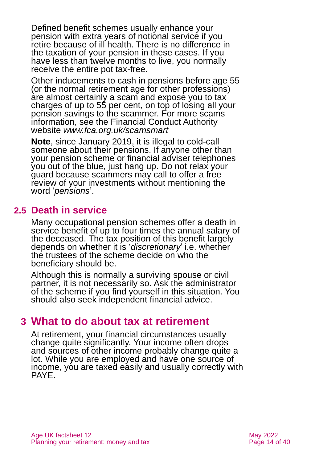Defined benefit schemes usually enhance your pension with extra years of notional service if you retire because of ill health. There is no difference in the taxation of your pension in these cases. If you have less than twelve months to live, you normally receive the entire pot tax-free.

Other inducements to cash in pensions before age 55 (or the normal retirement age for other professions) are almost certainly a scam and expose you to tax charges of up to 55 per cent, on top of losing all your pension savings to the scammer. For more scams information, see the Financial Conduct Authority website *[www.fca.org.uk/scamsmart](http://www.fca.org.uk/scamsmart)*

**Note**, since January 2019, it is illegal to cold-call someone about their pensions. If anyone other than your pension scheme or financial adviser telephones you out of the blue, just hang up. Do not relax your guard because scammers may call to offer a free review of your investments without mentioning the word '*pensions*'.

### **2.5 Death in service**

Many occupational pension schemes offer a death in service benefit of up to four times the annual salary of the deceased. The tax position of this benefit largely depends on whether it is '*discretionary*' i.e. whether the trustees of the scheme decide on who the beneficiary should be.

Although this is normally a surviving spouse or civil partner, it is not necessarily so. Ask the administrator of the scheme if you find yourself in this situation. You should also seek independent financial advice.

### <span id="page-13-0"></span>**3 What to do about tax at retirement**

At retirement, your financial circumstances usually change quite significantly. Your income often drops and sources of other income probably change quite a lot. While you are employed and have one source of income, you are taxed easily and usually correctly with PAYE.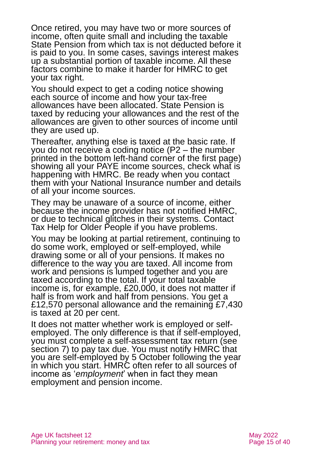Once retired, you may have two or more sources of income, often quite small and including the taxable State Pension from which tax is not deducted before it is paid to you. In some cases, savings interest makes up a substantial portion of taxable income. All these factors combine to make it harder for HMRC to get your tax right.

You should expect to get a coding notice showing each source of income and how your tax-free allowances have been allocated. State Pension is taxed by reducing your allowances and the rest of the allowances are given to other sources of income until they are used up.

Thereafter, anything else is taxed at the basic rate. If you do not receive a coding notice (P2 – the number printed in the bottom left-hand corner of the first page) showing all your PAYE income sources, check what is happening with HMRC. Be ready when you contact them with your National Insurance number and details of all your income sources.

They may be unaware of a source of income, either because the income provider has not notified HMRC, or due to technical glitches in their systems. Contact [Tax Help for Older People](http://www.taxvol.org.uk/) if you have problems.

You may be looking at partial retirement, continuing to do some work, employed or self-employed, while drawing some or all of your pensions. It makes no difference to the way you are taxed. All income from work and pensions is lumped together and you are taxed according to the total. If your total taxable income is, for example, £20,000, it does not matter if half is from work and half from pensions. You get a £12,570 personal allowance and the remaining £7,430 is taxed at 20 per cent.

It does not matter whether work is employed or selfemployed. The only difference is that if self-employed, you must complete a self-assessment tax return (see [section](#page-26-0) 7) to pay tax due. You must notify HMRC that you are self-employed by 5 October following the year in which you start. HMRC often refer to all sources of income as '*employment*' when in fact they mean employment and pension income.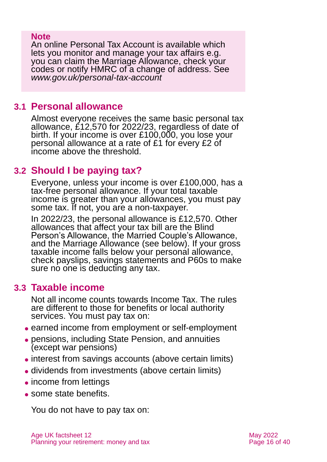#### **Note**

An online Personal Tax Account is available which lets you monitor and manage your tax affairs e.g. you can claim the Marriage Allowance, check your codes or notify HMRC of a change of address. See *[www.gov.uk/personal-tax-account](http://www.gov.uk/personal-tax-account)*

### **3.1 Personal allowance**

Almost everyone receives the same basic personal tax allowance, £12,570 for 2022/23, regardless of date of birth. If your income is over £100,000, you lose your personal allowance at a rate of £1 for every £2 of income above the threshold.

### **3.2 Should I be paying tax?**

Everyone, unless your income is over £100,000, has a tax-free personal allowance. If your total taxable income is greater than your allowances, you must pay some tax. If not, you are a non-taxpayer.

In 2022/23, the personal allowance is £12,570. Other allowances that affect your tax bill are the Blind Person's Allowance, the Married Couple's Allowance, and the Marriage Allowance (see below). If your gross taxable income falls below your personal allowance, check payslips, savings statements and P60s to make sure no one is deducting any tax.

### **3.3 Taxable income**

Not all income counts towards Income Tax. The rules are different to those for benefits or local authority services. You must pay tax on:

- ⚫ earned income from employment or self-employment
- ⚫ pensions, including State Pension, and annuities (except war pensions)
- interest from savings accounts (above certain limits)
- ⚫ dividends from investments (above certain limits)
- income from lettings
- ⚫ some state benefits.

You do not have to pay tax on: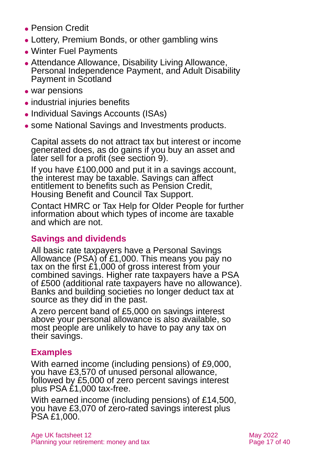- ⚫ Pension Credit
- ⚫ Lottery, Premium Bonds, or other gambling wins
- ⚫ Winter Fuel Payments
- ⚫ Attendance Allowance, Disability Living Allowance, Personal Independence Payment, and Adult Disability Payment in Scotland
- war pensions
- industrial injuries benefits
- ⚫ Individual Savings Accounts (ISAs)
- ⚫ some National Savings and Investments products.

Capital assets do not attract tax but interest or income generated does, as do gains if you buy an asset and later sell for a profit (see [section 9\)](#page-31-0).

If you have £100,000 and put it in a savings account, the interest may be taxable. Savings can affect entitlement to benefits such as Pension Credit, Housing Benefit and Council Tax Support.

Contact [HMRC](https://www.gov.uk/government/organisations/hm-revenue-customs) or [Tax Help for Older People](http://www.taxvol.org.uk/) for further information about which types of income are taxable and which are not.

### **Savings and dividends**

All basic rate taxpayers have a Personal Savings Allowance (PSA) of £1,000. This means you pay no tax on the first £1,000 of gross interest from your combined savings. Higher rate taxpayers have a PSA of £500 (additional rate taxpayers have no allowance). Banks and building societies no longer deduct tax at source as they did in the past.

A zero percent band of £5,000 on savings interest above your personal allowance is also available, so most people are unlikely to have to pay any tax on their savings.

### **Examples**

With earned income (including pensions) of £9,000, you have £3,570 of unused personal allowance, followed by £5,000 of zero percent savings interest plus PSA £1,000 tax-free.

With earned income (including pensions) of £14,500, you have £3,070 of zero-rated savings interest plus PSA £1,000.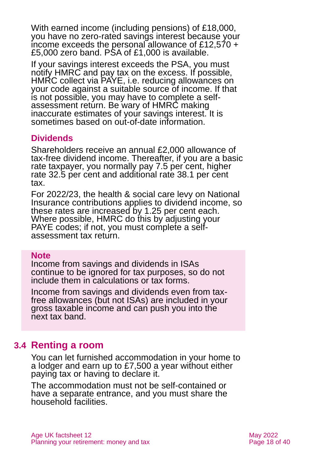With earned income (including pensions) of £18,000, you have no zero-rated savings interest because your income exceeds the personal allowance of £12,570 + £5,000 zero band. PSA of £1,000 is available.

If your savings interest exceeds the PSA, you must notify HMRC and pay tax on the excess. If possible, HMRC collect via PAYE, i.e. reducing allowances on your code against a suitable source of income. If that is not possible, you may have to complete a selfassessment return. Be wary of HMRC making inaccurate estimates of your savings interest. It is sometimes based on out-of-date information.

#### **Dividends**

Shareholders receive an annual £2,000 allowance of tax-free dividend income. Thereafter, if you are a basic rate taxpayer, you normally pay 7.5 per cent, higher rate 32.5 per cent and additional rate 38.1 per cent tax.

For 2022/23, the health & social care levy on National Insurance contributions applies to dividend income, so these rates are increased by 1.25 per cent each. Where possible, HMRC do this by adjusting your PAYE codes; if not, you must complete a selfassessment tax return.

#### **Note**

Income from savings and dividends in ISAs continue to be ignored for tax purposes, so do not include them in calculations or tax forms.

Income from savings and dividends even from taxfree allowances (but not ISAs) are included in your gross taxable income and can push you into the next tax band.

### **3.4 Renting a room**

You can let furnished accommodation in your home to a lodger and earn up to £7,500 a year without either paying tax or having to declare it.

The accommodation must not be self-contained or have a separate entrance, and you must share the household facilities.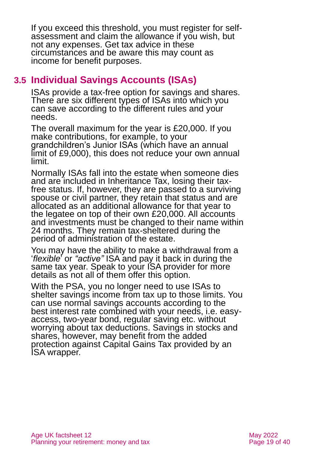If you exceed this threshold, you must register for selfassessment and claim the allowance if you wish, but not any expenses. Get tax advice in these circumstances and be aware this may count as income for benefit purposes.

### **3.5 Individual Savings Accounts (ISAs)**

ISAs provide a tax-free option for savings and shares. There are six different types of ISAs into which you can save according to the different rules and your needs.

The overall maximum for the year is £20,000. If you make contributions, for example, to your grandchildren's Junior ISAs (which have an annual limit of £9,000), this does not reduce your own annual limit.

Normally ISAs fall into the estate when someone dies and are included in Inheritance Tax, losing their taxfree status. If, however, they are passed to a surviving spouse or civil partner, they retain that status and are allocated as an additional allowance for that year to the legatee on top of their own £20,000. All accounts and investments must be changed to their name within 24 months. They remain tax-sheltered during the period of administration of the estate.

You may have the ability to make a withdrawal from a '*flexible*' or *"active"* ISA and pay it back in during the same tax year. Speak to your ISA provider for more details as not all of them offer this option.

With the PSA, you no longer need to use ISAs to shelter savings income from tax up to those limits. You can use normal savings accounts according to the best interest rate combined with your needs, i.e. easyaccess, two-year bond, regular saving etc. without worrying about tax deductions. Savings in stocks and shares, however, may benefit from the added protection against Capital Gains Tax provided by an ISA wrapper.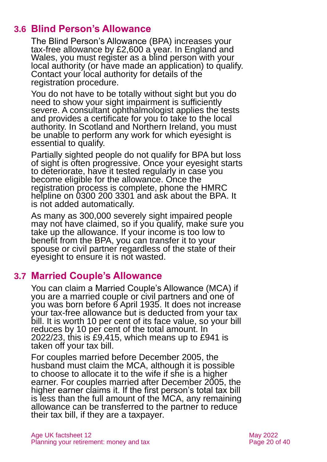### **3.6 Blind Person's Allowance**

The Blind Person's Allowance (BPA) increases your tax-free allowance by £2,600 a year. In England and Wales, you must register as a blind person with your local authority (or have made an application) to qualify. Contact your local authority for details of the registration procedure.

You do not have to be totally without sight but you do need to show your sight impairment is sufficiently severe. A consultant ophthalmologist applies the tests and provides a certificate for you to take to the local authority. In Scotland and Northern Ireland, you must be unable to perform any work for which eyesight is essential to qualify.

Partially sighted people do not qualify for BPA but loss of sight is often progressive. Once your eyesight starts to deteriorate, have it tested regularly in case you become eligible for the allowance. Once the registration process is complete, phone the HMRC helpline on 0300 200 3301 and ask about the BPA. It is not added automatically.

As many as 300,000 severely sight impaired people may not have claimed, so if you qualify, make sure you take up the allowance. If your income is too low to benefit from the BPA, you can transfer it to your spouse or civil partner regardless of the state of their eyesight to ensure it is not wasted.

### **3.7 Married Couple's Allowance**

You can claim a Married Couple's Allowance (MCA) if you are a married couple or civil partners and one of you was born before 6 April 1935. It does not increase your tax-free allowance but is deducted from your tax bill. It is worth 10 per cent of its face value, so your bill reduces by 10 per cent of the total amount. In 2022/23, this is £9,415, which means up to £941 is taken off your tax bill.

For couples married before December 2005, the husband must claim the MCA, although it is possible to choose to allocate it to the wife if she is a higher earner. For couples married after December 2005, the higher earner claims it. If the first person's total tax bill is less than the full amount of the MCA, any remaining allowance can be transferred to the partner to reduce their tax bill, if they are a taxpayer.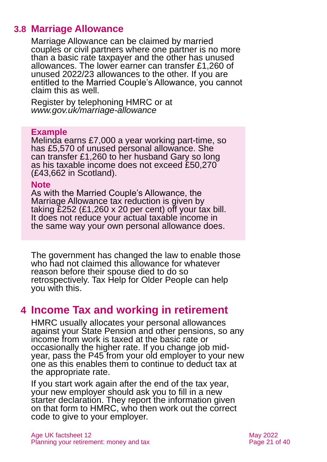### **3.8 Marriage Allowance**

Marriage Allowance can be claimed by married couples or civil partners where one partner is no more than a basic rate taxpayer and the other has unused allowances. The lower earner can transfer £1,260 of unused 2022/23 allowances to the other. If you are entitled to the Married Couple's Allowance, you cannot claim this as well.

Register by telephoning HMRC or at *[www.gov.uk/marriage-allowance](http://www.gov.uk/marriage-allowance)*

#### **Example**

Melinda earns £7,000 a year working part-time, so has £5,570 of unused personal allowance. She can transfer £1,260 to her husband Gary so long as his taxable income does not exceed £50,270 (£43,662 in Scotland).

#### **Note**

As with the Married Couple's Allowance, the Marriage Allowance tax reduction is given by taking £252 (£1,260 x 20 per cent) off your tax bill. It does not reduce your actual taxable income in the same way your own personal allowance does.

The government has changed the law to enable those who had not claimed this allowance for whatever reason before their spouse died to do so retrospectively. Tax [Help for Older People](#page-37-0) can help you with this.

### <span id="page-20-0"></span>**4 Income Tax and working in retirement**

HMRC usually allocates your personal allowances against your State Pension and other pensions, so any income from work is taxed at the basic rate or occasionally the higher rate. If you change job midyear, pass the P45 from your old employer to your new one as this enables them to continue to deduct tax at the appropriate rate.

If you start work again after the end of the tax year, your new employer should ask you to fill in a new starter declaration. They report the information given on that form to HMRC, who then work out the correct code to give to your employer.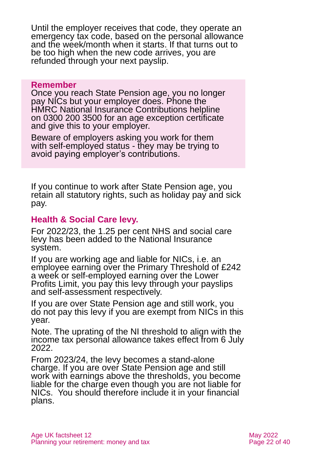Until the employer receives that code, they operate an emergency tax code, based on the personal allowance and the week/month when it starts. If that turns out to be too high when the new code arrives, you are refunded through your next payslip.

#### **Remember**

Once you reach State Pension age, you no longer pay NICs but your employer does. Phone the HMRC National Insurance Contributions helpline on 0300 200 3500 for an age exception certificate and give this to your employer.

Beware of employers asking you work for them with self-employed status - they may be trying to avoid paying employer's contributions.

If you continue to work after State Pension age, you retain all statutory rights, such as holiday pay and sick pay.

#### **Health & Social Care levy.**

For 2022/23, the 1.25 per cent NHS and social care levy has been added to the National Insurance system.

If you are working age and liable for NICs, i.e. an employee earning over the Primary Threshold of £242 a week or self-employed earning over the Lower Profits Limit, you pay this levy through your payslips and self-assessment respectively.

If you are over State Pension age and still work, you do not pay this levy if you are exempt from NICs in this year.

Note. The uprating of the NI threshold to align with the income tax personal allowance takes effect from 6 July 2022.

From 2023/24, the levy becomes a stand-alone charge. If you are over State Pension age and still work with earnings above the thresholds, you become liable for the charge even though you are not liable for NICs. You should therefore include it in your financial plans.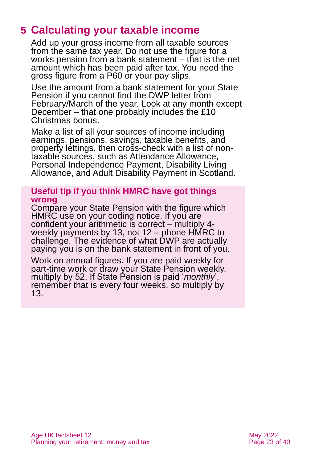# <span id="page-22-0"></span>**5 Calculating your taxable income**

Add up your gross income from all taxable sources from the same tax year. Do not use the figure for a works pension from a bank statement – that is the net amount which has been paid after tax. You need the gross figure from a P60 or your pay slips.

Use the amount from a bank statement for your State Pension if you cannot find the DWP letter from February/March of the year. Look at any month except December – that one probably includes the £10 Christmas bonus.

Make a list of all your sources of income including earnings, pensions, savings, taxable benefits, and property lettings, then cross-check with a list of nontaxable sources, such as Attendance Allowance, Personal Independence Payment, Disability Living Allowance, and Adult Disability Payment in Scotland.

#### **Useful tip if you think HMRC have got things wrong**

Compare your State Pension with the figure which HMRC use on your coding notice. If you are confident your arithmetic is correct – multiply 4 weekly payments by 13, not 12 – phone HMRC to challenge. The evidence of what DWP are actually paying you is on the bank statement in front of you.

Work on annual figures. If you are paid weekly for part-time work or draw your State Pension weekly, multiply by 52. If State Pension is paid '*monthly*', remember that is every four weeks, so multiply by 13.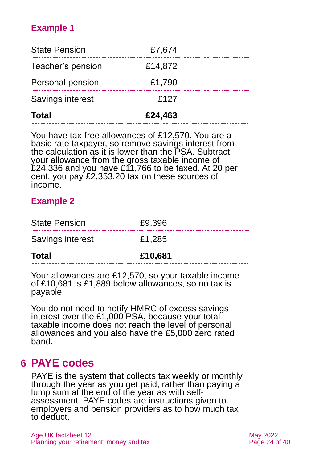### **Example 1**

| <b>State Pension</b>    | £7,674  |  |
|-------------------------|---------|--|
| Teacher's pension       | £14,872 |  |
| <b>Personal pension</b> | £1,790  |  |
| Savings interest        | £127    |  |
| <b>Total</b>            | £24,463 |  |

You have tax-free allowances of £12,570. You are a basic rate taxpayer, so remove savings interest from the calculation as it is lower than the PSA. Subtract your allowance from the gross taxable income of £24,336 and you have £11,766 to be taxed. At 20 per cent, you pay £2,353.20 tax on these sources of income.

#### **Example 2**

| Total                | £10,681 |
|----------------------|---------|
| Savings interest     | £1,285  |
| <b>State Pension</b> | £9.396  |

Your allowances are £12,570, so your taxable income of £10,681 is £1,889 below allowances, so no tax is payable.

You do not need to notify HMRC of excess savings interest over the £1,000 PSA, because your total taxable income does not reach the level of personal allowances and you also have the £5,000 zero rated band.

### <span id="page-23-0"></span>**6 PAYE codes**

PAYE is the system that collects tax weekly or monthly through the year as you get paid, rather than paying a lump sum at the end of the year as with selfassessment. PAYE codes are instructions given to employers and pension providers as to how much tax to deduct.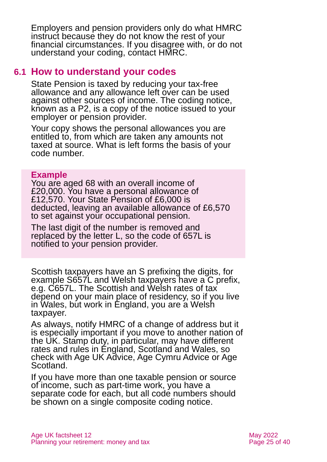Employers and pension providers only do what HMRC instruct because they do not know the rest of your financial circumstances. If you disagree with, or do not understand your coding, contact HMRC.

### **6.1 How to understand your codes**

State Pension is taxed by reducing your tax-free allowance and any allowance left over can be used against other sources of income. The coding notice, known as a P2, is a copy of the notice issued to your employer or pension provider.

Your copy shows the personal allowances you are entitled to, from which are taken any amounts not taxed at source. What is left forms the basis of your code number.

#### **Example**

You are aged 68 with an overall income of £20,000. You have a personal allowance of £12,570. Your State Pension of £6,000 is deducted, leaving an available allowance of £6,570 to set against your occupational pension.

The last digit of the number is removed and replaced by the letter L, so the code of 657L is notified to your pension provider.

Scottish taxpayers have an S prefixing the digits, for example S657L and Welsh taxpayers have a C prefix, e.g. C657L. The Scottish and Welsh rates of tax depend on your main place of residency, so if you live in Wales, but work in England, you are a Welsh taxpayer.

As always, notify HMRC of a change of address but it is especially important if you move to another nation of the UK. Stamp duty, in particular, may have different rates and rules in England, Scotland and Wales, so check with [Age UK Advice, Age Cymru Advice or Age](#page-38-0)  [Scotland.](#page-38-0)

If you have more than one taxable pension or source of income, such as part-time work, you have a separate code for each, but all code numbers should be shown on a single composite coding notice.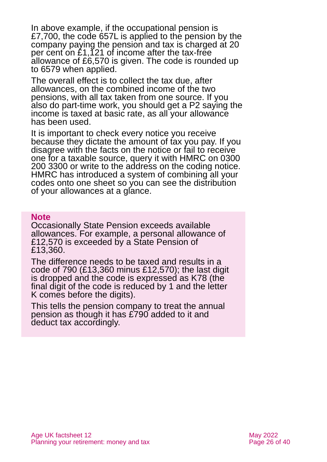In above example, if the occupational pension is £7,700, the code 657L is applied to the pension by the company paying the pension and tax is charged at 20 per cent on £1,121 of income after the tax-free allowance of £6,570 is given. The code is rounded up to 6579 when applied.

The overall effect is to collect the tax due, after allowances, on the combined income of the two pensions, with all tax taken from one source. If you also do part-time work, you should get a P2 saying the income is taxed at basic rate, as all your allowance has been used.

It is important to check every notice you receive because they dictate the amount of tax you pay. If you disagree with the facts on the notice or fail to receive one for a taxable source, query it with HMRC on 0300 200 3300 or write to the address on the coding notice. HMRC has introduced a system of combining all your codes onto one sheet so you can see the distribution of your allowances at a glance.

#### **Note**

Occasionally State Pension exceeds available allowances. For example, a personal allowance of £12,570 is exceeded by a State Pension of £13,360.

The difference needs to be taxed and results in a code of 790 (£13,360 minus £12,570); the last digit is dropped and the code is expressed as K78 (the final digit of the code is reduced by 1 and the letter K comes before the digits).

This tells the pension company to treat the annual pension as though it has £790 added to it and deduct tax accordingly.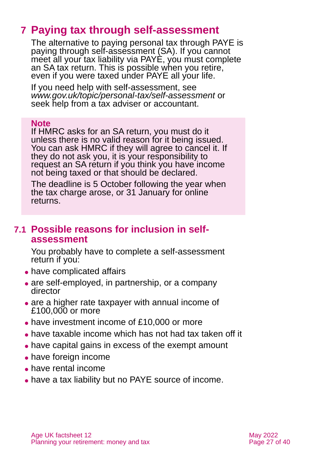# <span id="page-26-0"></span>**7 Paying tax through self-assessment**

The alternative to paying personal tax through PAYE is paying through self-assessment (SA). If you cannot meet all your tax liability via PAYE, you must complete an SA tax return. This is possible when you retire, even if you were taxed under PAYE all your life.

If you need help with self-assessment, see *[www.gov.uk/topic/personal-tax/self-assessment](http://www.gov.uk/topic/personal-tax/self-assessment)* or seek help from a tax adviser or accountant.

#### **Note**

If HMRC asks for an SA return, you must do it unless there is no valid reason for it being issued. You can ask HMRC if they will agree to cancel it. If they do not ask you, it is your responsibility to request an SA return if you think you have income not being taxed or that should be declared.

The deadline is 5 October following the year when the tax charge arose, or 31 January for online returns.

### **7.1 Possible reasons for inclusion in selfassessment**

You probably have to complete a self-assessment return if you:

- have complicated affairs
- are self-employed, in partnership, or a company director
- are a higher rate taxpayer with annual income of £100,000 or more
- have investment income of £10,000 or more
- ⚫ have taxable income which has not had tax taken off it
- have capital gains in excess of the exempt amount
- ⚫ have foreign income
- ⚫ have rental income
- ⚫ have a tax liability but no PAYE source of income.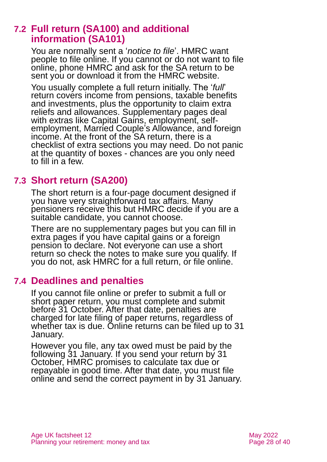### **7.2 Full return (SA100) and additional information (SA101)**

You are normally sent a '*notice to file*'. HMRC want people to file online. If you cannot or do not want to file online, phone HMRC and ask for the SA return to be sent you or download it from the HMRC website.

You usually complete a full return initially. The '*full*' return covers income from pensions, taxable benefits and investments, plus the opportunity to claim extra reliefs and allowances. Supplementary pages deal with extras like Capital Gains, employment, selfemployment, Married Couple's Allowance, and foreign income. At the front of the SA return, there is a checklist of extra sections you may need. Do not panic at the quantity of boxes - chances are you only need to fill in a few.

### **7.3 Short return (SA200)**

The short return is a four-page document designed if you have very straightforward tax affairs. Many pensioners receive this but HMRC decide if you are a suitable candidate, you cannot choose.

There are no supplementary pages but you can fill in extra pages if you have capital gains or a foreign pension to declare. Not everyone can use a short return so check the notes to make sure you qualify. If you do not, ask HMRC for a full return, or file online.

### **7.4 Deadlines and penalties**

If you cannot file online or prefer to submit a full or short paper return, you must complete and submit before 31 October. After that date, penalties are charged for late filing of paper returns, regardless of whether tax is due. Online returns can be filed up to 31 January.

However you file, any tax owed must be paid by the following 31 January. If you send your return by 31 October, HMRC promises to calculate tax due or repayable in good time. After that date, you must file online and send the correct payment in by 31 January.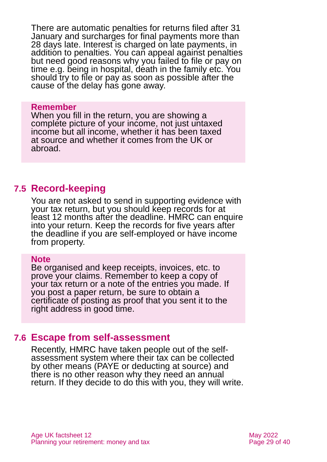There are automatic penalties for returns filed after 31 January and surcharges for final payments more than 28 days late. Interest is charged on late payments, in addition to penalties. You can appeal against penalties but need good reasons why you failed to file or pay on time e.g. being in hospital, death in the family etc. You should try to file or pay as soon as possible after the cause of the delay has gone away.

#### **Remember**

When you fill in the return, you are showing a complete picture of your income, not just untaxed income but all income, whether it has been taxed at source and whether it comes from the UK or abroad.

#### **7.5 Record-keeping**

You are not asked to send in supporting evidence with your tax return, but you should keep records for at least 12 months after the deadline. HMRC can enquire into your return. Keep the records for five years after the deadline if you are self-employed or have income from property.

#### **Note**

Be organised and keep receipts, invoices, etc. to prove your claims. Remember to keep a copy of your tax return or a note of the entries you made. If you post a paper return, be sure to obtain a certificate of posting as proof that you sent it to the right address in good time.

#### <span id="page-28-0"></span>**7.6 Escape from self-assessment**

Recently, HMRC have taken people out of the selfassessment system where their tax can be collected by other means (PAYE or deducting at source) and there is no other reason why they need an annual return. If they decide to do this with you, they will write.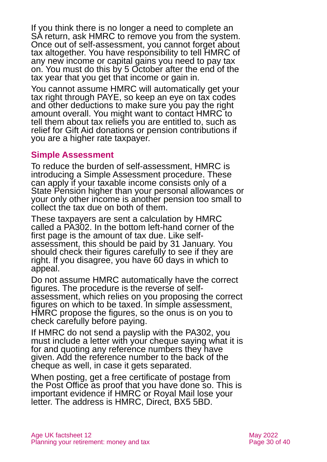If you think there is no longer a need to complete an SA return, ask HMRC to remove you from the system. Once out of self-assessment, you cannot forget about tax altogether. You have responsibility to tell HMRC of any new income or capital gains you need to pay tax on. You must do this by 5 October after the end of the tax year that you get that income or gain in.

You cannot assume HMRC will automatically get your tax right through PAYE, so keep an eye on tax codes and other deductions to make sure you pay the right amount overall. You might want to contact HMRC to tell them about tax reliefs you are entitled to, such as relief for Gift Aid donations or pension contributions if you are a higher rate taxpayer.

#### **Simple Assessment**

To reduce the burden of self-assessment, HMRC is introducing a Simple Assessment procedure. These can apply if your taxable income consists only of a State Pension higher than your personal allowances or your only other income is another pension too small to collect the tax due on both of them.

These taxpayers are sent a calculation by HMRC called a PA302. In the bottom left-hand corner of the first page is the amount of tax due. Like selfassessment, this should be paid by 31 January. You should check their figures carefully to see if they are right. If you disagree, you have 60 days in which to appeal.

Do not assume HMRC automatically have the correct figures. The procedure is the reverse of selfassessment, which relies on you proposing the correct figures on which to be taxed. In simple assessment, HMRC propose the figures, so the onus is on you to check carefully before paying.

If HMRC do not send a payslip with the PA302, you must include a letter with your cheque saying what it is for and quoting any reference numbers they have given. Add the reference number to the back of the cheque as well, in case it gets separated.

When posting, get a free certificate of postage from the Post Office as proof that you have done so. This is important evidence if HMRC or Royal Mail lose your letter. The address is HMRC, Direct, BX5 5BD.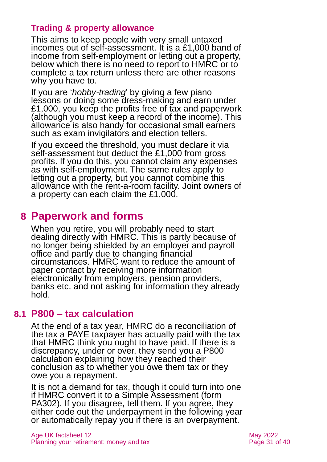### **Trading & property allowance**

This aims to keep people with very small untaxed incomes out of self-assessment. It is a £1,000 band of income from self-employment or letting out a property, below which there is no need to report to HMRC or to complete a tax return unless there are other reasons why you have to.

If you are '*hobby-trading*' by giving a few piano lessons or doing some dress-making and earn under £1,000, you keep the profits free of tax and paperwork (although you must keep a record of the income). This allowance is also handy for occasional small earners such as exam invigilators and election tellers.

If you exceed the threshold, you must declare it via self-assessment but deduct the £1,000 from gross profits. If you do this, you cannot claim any expenses as with self-employment. The same rules apply to letting out a property, but you cannot combine this allowance with the rent-a-room facility. Joint owners of a property can each claim the £1,000.

# <span id="page-30-0"></span>**8 Paperwork and forms**

When you retire, you will probably need to start dealing directly with HMRC. This is partly because of no longer being shielded by an employer and payroll office and partly due to changing financial circumstances. HMRC want to reduce the amount of paper contact by receiving more information electronically from employers, pension providers, banks etc. and not asking for information they already hold.

### <span id="page-30-1"></span>**8.1 P800 – tax calculation**

At the end of a tax year, HMRC do a reconciliation of the tax a PAYE taxpayer has actually paid with the tax that HMRC think you ought to have paid. If there is a discrepancy, under or over, they send you a P800 calculation explaining how they reached their conclusion as to whether you owe them tax or they owe you a repayment.

It is not a demand for tax, though it could turn into one if HMRC convert it to a Simple Assessment (form PA302). If you disagree, tell them. If you agree, they either code out the underpayment in the following year or automatically repay you if there is an overpayment.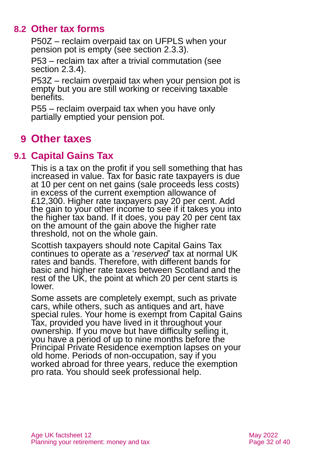### **8.2 Other tax forms**

P50Z – reclaim overpaid tax on UFPLS when your pension pot is empty (see [section](#page-10-0) 2.3.3).

P53 – reclaim tax after a trivial commutation (see [section](#page-10-1) 2.3.4).

P53Z – reclaim overpaid tax when your pension pot is empty but you are still working or receiving taxable benefits.

P55 – reclaim overpaid tax when you have only partially emptied your pension pot.

# <span id="page-31-0"></span>**9 Other taxes**

### **9.1 Capital Gains Tax**

This is a tax on the profit if you sell something that has increased in value. Tax for basic rate taxpayers is due at 10 per cent on net gains (sale proceeds less costs) in excess of the current exemption allowance of £12,300. Higher rate taxpayers pay 20 per cent. Add the gain to your other income to see if it takes you into the higher tax band. If it does, you pay 20 per cent tax on the amount of the gain above the higher rate threshold, not on the whole gain.

Scottish taxpayers should note Capital Gains Tax continues to operate as a '*reserved*' tax at normal UK rates and bands. Therefore, with different bands for basic and higher rate taxes between Scotland and the rest of the UK, the point at which 20 per cent starts is lower.

Some assets are completely exempt, such as private cars, while others, such as antiques and art, have special rules. Your home is exempt from Capital Gains Tax, provided you have lived in it throughout your ownership. If you move but have difficulty selling it, you have a period of up to nine months before the Principal Private Residence exemption lapses on your old home. Periods of non-occupation, say if you worked abroad for three years, reduce the exemption pro rata. You should seek professional help.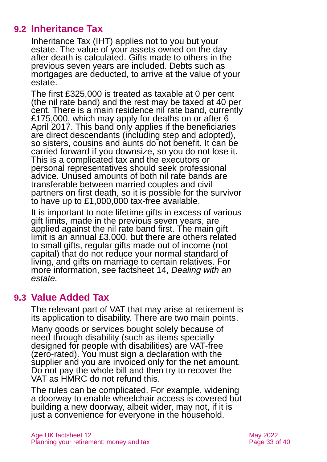### **9.2 Inheritance Tax**

Inheritance Tax (IHT) applies not to you but your estate. The value of your assets owned on the day after death is calculated. Gifts made to others in the previous seven years are included. Debts such as mortgages are deducted, to arrive at the value of your estate.

The first £325,000 is treated as taxable at 0 per cent (the nil rate band) and the rest may be taxed at 40 per cent. There is a main residence nil rate band, currently £175,000, which may apply for deaths on or after 6 April 2017. This band only applies if the beneficiaries are direct descendants (including step and adopted), so sisters, cousins and aunts do not benefit. It can be carried forward if you downsize, so you do not lose it. This is a complicated tax and the executors or personal representatives should seek professional advice. Unused amounts of both nil rate bands are transferable between married couples and civil partners on first death, so it is possible for the survivor to have up to £1,000,000 tax-free available.

It is important to note lifetime gifts in excess of various gift limits, made in the previous seven years, are applied against the nil rate band first. The main gift limit is an annual £3,000, but there are others related to small gifts, regular gifts made out of income (not capital) that do not reduce your normal standard of living, and gifts on marriage to certain relatives. For more information, see factsheet 14, *[Dealing with an](https://www.ageuk.org.uk/globalassets/age-uk/documents/factsheets/fs14_dealing_with_an_estate_fcs.pdf)  [estate.](https://www.ageuk.org.uk/globalassets/age-uk/documents/factsheets/fs14_dealing_with_an_estate_fcs.pdf)*

### **9.3 Value Added Tax**

The relevant part of VAT that may arise at retirement is its application to disability. There are two main points.

Many goods or services bought solely because of need through disability (such as items specially designed for people with disabilities) are VAT-free (zero-rated). You must sign a declaration with the supplier and you are invoiced only for the net amount. Do not pay the whole bill and then try to recover the VAT as HMRC do not refund this.

The rules can be complicated. For example, widening a doorway to enable wheelchair access is covered but building a new doorway, albeit wider, may not, if it is just a convenience for everyone in the household.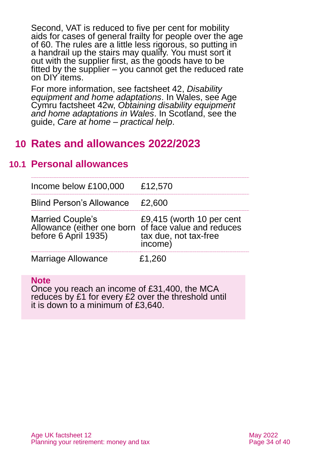Second, VAT is reduced to five per cent for mobility aids for cases of general frailty for people over the age of 60. The rules are a little less rigorous, so putting in a handrail up the stairs may qualify. You must sort it out with the supplier first, as the goods have to be fitted by the supplier – you cannot get the reduced rate on DIY items.

For more information, see factsheet 42, *[Disability](https://www.ageuk.org.uk/globalassets/age-uk/documents/factsheets/fs42_disability_equipment_and_home_adaptations_fcs.pdf)  [equipment and home adaptations](https://www.ageuk.org.uk/globalassets/age-uk/documents/factsheets/fs42_disability_equipment_and_home_adaptations_fcs.pdf)*. In Wales, see Age Cymru factsheet 42w, *Obtaining [disability equipment](https://www.ageuk.org.uk/globalassets/age-cymru/documents/information-guides-and-factsheets/fs42w.pdf)  [and home adaptations in Wales](https://www.ageuk.org.uk/globalassets/age-cymru/documents/information-guides-and-factsheets/fs42w.pdf)*. In Scotland, see the guide, *[Care at home –](https://www.ageuk.org.uk/scotland/information-advice/care-and-support/care-at-home/) practical help*.

### <span id="page-33-0"></span>**10 Rates and allowances 2022/2023**

### **10.1 Personal allowances**

| Income below £100,000                                                                                                                            | £12,570 |
|--------------------------------------------------------------------------------------------------------------------------------------------------|---------|
| <b>Blind Person's Allowance</b>                                                                                                                  | £2,600  |
| Married Couple's E9,415 (worth 10 per cent<br>Allowance (either one born of face value and reduces<br>before 6 April 1935) tax due, not tax-free | income) |
| <b>Marriage Allowance</b>                                                                                                                        | £1,260  |

**Note**

Once you reach an income of £31,400, the MCA reduces by £1 for every £2 over the threshold until it is down to a minimum of £3,640.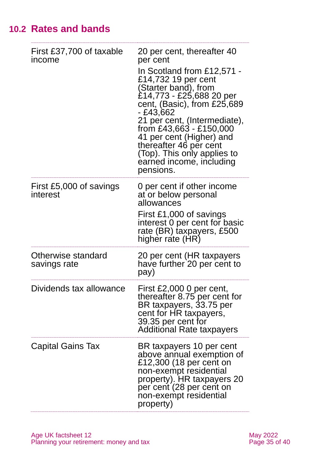# **10.2 Rates and bands**

| First £37,700 of taxable<br>income  | 20 per cent, thereafter 40<br>per cent<br>In Scotland from £12,571 -<br>£14,732 19 per cent<br>(Starter band), from<br>£14,773 - £25,688 20 per<br>cent, $(Basic)$ , from £25,689<br>- £43,662<br>21 per cent, (Intermediate),<br>from £43,663 - £150,000<br>41 per cent (Higher) and<br>thereafter 46 per cent<br>(Top). This only applies to<br>earned income, including<br>pensions. |
|-------------------------------------|-----------------------------------------------------------------------------------------------------------------------------------------------------------------------------------------------------------------------------------------------------------------------------------------------------------------------------------------------------------------------------------------|
| First £5,000 of savings<br>interest | 0 per cent if other income<br>at or below personal<br>allowances<br>First £1,000 of savings<br>interest 0 per cent for basic<br>rate (BR) taxpayers, £500<br>higher rate (HR)                                                                                                                                                                                                           |
| Otherwise standard<br>savings rate  | 20 per cent (HR taxpayers<br>have further 20 per cent to<br>pay)                                                                                                                                                                                                                                                                                                                        |
| Dividends tax allowance             | First £2,000 0 per cent<br>thereafter 8.75 per cent for<br>BR taxpayers, 33.75 per<br>cent for HR taxpayers,<br>39.35 per cent for<br><b>Additional Rate taxpayers</b>                                                                                                                                                                                                                  |
| Capital Gains Tax                   | BR taxpayers 10 per cent<br>above annual exemption of<br>£12,300 (18 per cent on<br>non-exempt residential<br>property). HR taxpayers 20<br>per cent (28 per cent on<br>non-exempt residential<br>property)                                                                                                                                                                             |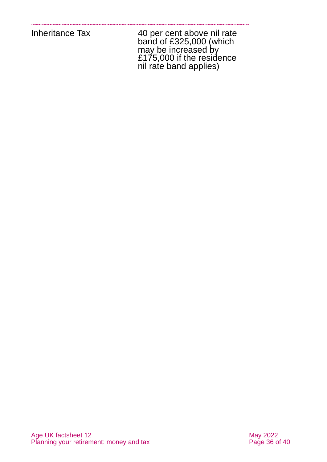| Inheritance Tax | 40 per cent above nil rate<br>band of £325,000 (which<br>may be increased by<br>£175,000 if the residence<br>nil rate band applies) |
|-----------------|-------------------------------------------------------------------------------------------------------------------------------------|
|                 |                                                                                                                                     |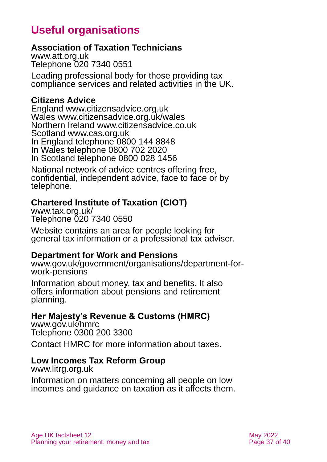# <span id="page-36-1"></span>**Useful organisations**

#### <span id="page-36-0"></span>**Association of Taxation Technicians**

[www.att.org.uk](http://www.att.org.uk/) Telephone 020 7340 0551

Leading professional body for those providing tax compliance services and related activities in the UK.

#### **Citizens Advice**

England [www.citizensadvice.org.uk](http://www.citizensadvice.org.uk/) Wales [www.citizensadvice.org.uk/wales](http://www.citizensadvice.org.uk/wales) Northern Ireland [www.citizensadvice.co.uk](http://www.citizensadvice.co.uk/) Scotland [www.cas.org.uk](http://www.cas.org.uk/) In England telephone 0800 144 8848 In Wales telephone 0800 702 2020 In Scotland telephone 0800 028 1456

National network of advice centres offering free, confidential, independent advice, face to face or by telephone.

#### **Chartered Institute of Taxation (CIOT)**

[www.tax.org.uk/](https://www.tax.org.uk/)  Telephone 020 7340 0550

Website contains an area for people looking for general tax information or a professional tax adviser.

#### **Department for Work and Pensions**

[www.gov.uk/government/organisations/department-for](http://www.gov.uk/government/organisations/department-for-work-pensions)[work-pensions](http://www.gov.uk/government/organisations/department-for-work-pensions)

Information about money, tax and benefits. It also offers information about pensions and retirement planning.

#### **Her Majesty's Revenue & Customs (HMRC)**

[www.gov.uk/hmrc](http://www.gov.uk/hmrc) Telephone 0300 200 3300

Contact HMRC for more information about taxes.

#### **Low Incomes Tax Reform Group**

[www.litrg.org.uk](http://www.litrg.org.uk/)

Information on matters concerning all people on low incomes and guidance on taxation as it affects them.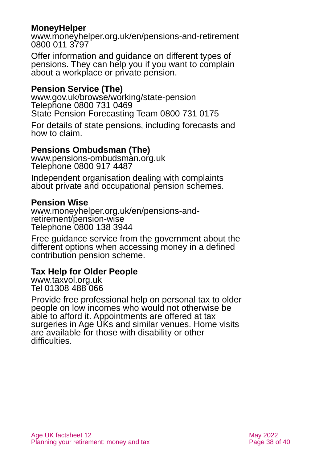#### **MoneyHelper**

[www.moneyhelper.org.uk/en/pensions-and-retirement](http://www.moneyhelper.org.uk/en/pensions-and-retirement) 0800 011 3797

Offer information and guidance on different types of pensions. They can help you if you want to complain about a workplace or private pension.

#### **Pension Service (The)**

[www.gov.uk/browse/working/state-pension](http://www.gov.uk/browse/working/state-pension) Telephone 0800 731 0469 State Pension Forecasting Team 0800 731 0175

For details of state pensions, including forecasts and how to claim.

### **Pensions Ombudsman (The)**

[www.pensions-ombudsman.org.uk](http://www.pensions-ombudsman.org.uk/) Telephone 0800 917 4487

Independent organisation dealing with complaints about private and occupational pension schemes.

#### **Pension Wise**

[www.moneyhelper.org.uk/en/pensions-and](http://www.moneyhelper.org.uk/en/pensions-and-retirement/pension-wise)[retirement/pension-wise](http://www.moneyhelper.org.uk/en/pensions-and-retirement/pension-wise) Telephone 0800 138 3944

Free guidance service from the government about the different options when accessing money in a defined contribution pension scheme.

#### <span id="page-37-0"></span>**Tax Help for Older People**

[www.taxvol.org.uk](http://www.taxvol.org.uk/) Tel 01308 488 066

Provide free professional help on personal tax to older people on low incomes who would not otherwise be able to afford it. Appointments are offered at tax surgeries in Age UKs and similar venues. Home visits are available for those with disability or other difficulties.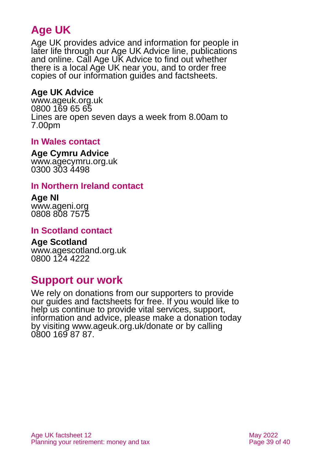# **Age UK**

Age UK provides advice and information for people in later life through our Age UK Advice line, publications and online. Call Age UK Advice to find out whether there is a local Age UK near you, and to order free copies of our information guides and factsheets.

### <span id="page-38-0"></span>**Age UK Advice**

[www.ageuk.org.uk](http://www.ageuk.org.uk/) 0800 169 65 65 Lines are open seven days a week from 8.00am to 7.00pm

#### **In Wales contact**

#### **Age Cymru Advice**

[www.agecymru.org.uk](http://www.agecymru.org.uk/) 0300 303 4498

#### **In Northern Ireland contact**

#### **Age NI** [www.ageni.org](http://www.ageni.org/)

0808 808 7575

#### **In Scotland contact**

# <span id="page-38-1"></span>**Age Scotland**

[www.agescotland.org.uk](http://www.agescotland.org.uk/) 0800 124 4222

# **Support our work**

We rely on donations from our supporters to provide our guides and factsheets for free. If you would like to help us continue to provide vital services, support, information and advice, please make a donation today by visiting [www.ageuk.org.uk/donate](http://www.ageuk.org.uk/donate) or by calling 0800 169 87 87.